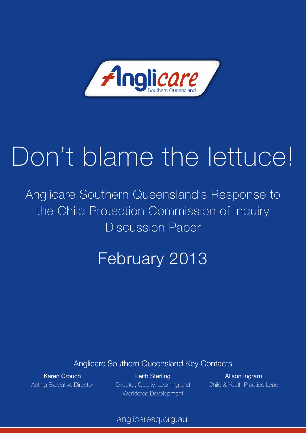

# Don't blame the lettuce!

Anglicare Southern Queensland's Response to the Child Protection Commission of Inquiry Discussion Paper

# February 2013

Anglicare Southern Queensland Key Contacts

Karen Crouch Acting Executive Director

Leith Sterling Director, Quality, Learning and Workforce Development

Alison Ingram Child & Youth Practice Lead

anglicaresq.org.au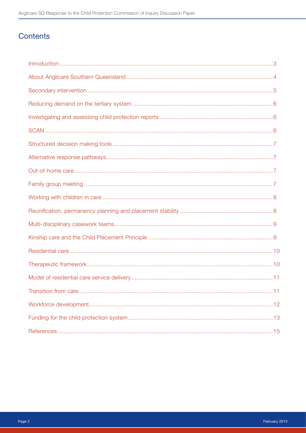# Contents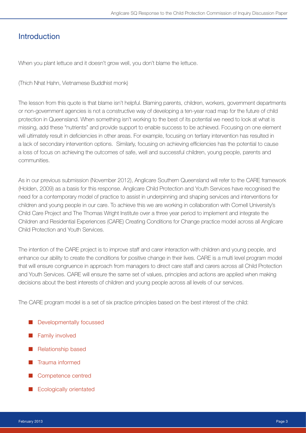# **Introduction**

When you plant lettuce and it doesn't grow well, you don't blame the lettuce.

(Thich Nhat Hahn, Vietnamese Buddhist monk)

The lesson from this quote is that blame isn't helpful. Blaming parents, children, workers, government departments or non-government agencies is not a constructive way of developing a ten-year road map for the future of child protection in Queensland. When something isn't working to the best of its potential we need to look at what is missing, add these "nutrients" and provide support to enable success to be achieved. Focusing on one element will ultimately result in deficiencies in other areas. For example, focusing on tertiary intervention has resulted in a lack of secondary intervention options. Similarly, focusing on achieving efficiencies has the potential to cause a loss of focus on achieving the outcomes of safe, well and successful children, young people, parents and communities.

As in our previous submission (November 2012), Anglicare Southern Queensland will refer to the CARE framework (Holden, 2009) as a basis for this response. Anglicare Child Protection and Youth Services have recognised the need for a contemporary model of practice to assist in underpinning and shaping services and interventions for children and young people in our care. To achieve this we are working in collaboration with Cornell University's Child Care Project and The Thomas Wright Institute over a three year period to implement and integrate the Children and Residential Experiences (CARE) Creating Conditions for Change practice model across all Anglicare Child Protection and Youth Services.

The intention of the CARE project is to improve staff and carer interaction with children and young people, and enhance our ability to create the conditions for positive change in their lives. CARE is a multi level program model that will ensure congruence in approach from managers to direct care staff and carers across all Child Protection and Youth Services. CARE will ensure the same set of values, principles and actions are applied when making decisions about the best interests of children and young people across all levels of our services.

The CARE program model is a set of six practice principles based on the best interest of the child:

- Developmentally focussed
- Family involved
- Relationship based
- Trauma informed
- Competence centred
- **Ecologically orientated**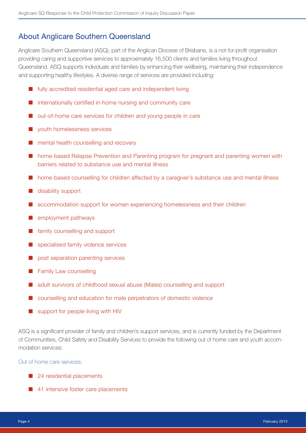# About Anglicare Southern Queensland

Anglicare Southern Queensland (ASQ), part of the Anglican Diocese of Brisbane, is a not-for-profit organisation providing caring and supportive services to approximately 16,500 clients and families living throughout Queensland. ASQ supports individuals and families by enhancing their wellbeing, maintaining their independence and supporting healthy lifestyles. A diverse range of services are provided including:

- fully accredited residential aged care and independent living
- internationally certified in-home nursing and community care
- out-of-home care services for children and young people in care
- youth homelessness services
- mental health counselling and recovery
- home-based Relapse Prevention and Parenting program for pregnant and parenting women with barriers related to substance use and mental illness
- home-based counselling for children affected by a caregiver's substance use and mental illness
- disability support
- accommodation support for women experiencing homelessness and their children
- employment pathways
- family counselling and support
- specialised family violence services
- post separation parenting services
- Family Law counselling
- adult survivors of childhood sexual abuse (Males) counselling and support
- counselling and education for male perpetrators of domestic violence
- support for people living with HIV

ASQ is a significant provider of family and children's support services, and is currently funded by the Department of Communities, Child Safety and Disability Services to provide the following out of home care and youth accommodation services:

Out of home care services:

- 24 residential placements
- 41 intensive foster care placements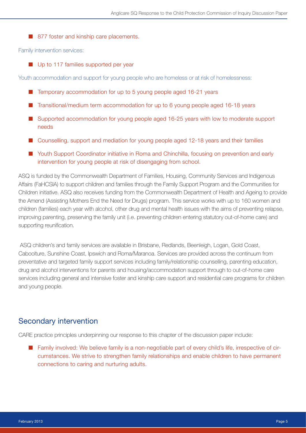■ 877 foster and kinship care placements.

Family intervention services:

■ Up to 117 families supported per year

Youth accommodation and support for young people who are homeless or at risk of homelessness:

- Temporary accommodation for up to 5 young people aged 16-21 years
- Transitional/medium term accommodation for up to 6 young people aged 16-18 years
- Supported accommodation for young people aged 16-25 years with low to moderate support needs
- Counselling, support and mediation for young people aged 12-18 years and their families
- Youth Support Coordinator initiative in Roma and Chinchilla, focusing on prevention and early intervention for young people at risk of disengaging from school.

ASQ is funded by the Commonwealth Department of Families, Housing, Community Services and Indigenous Affairs (FaHCSIA) to support children and families through the Family Support Program and the Communities for Children initiative. ASQ also receives funding from the Commonwealth Department of Health and Ageing to provide the Amend (Assisting Mothers End the Need for Drugs) program. This service works with up to 160 women and children (families) each year with alcohol, other drug and mental health issues with the aims of preventing relapse, improving parenting, preserving the family unit (i.e. preventing children entering statutory out-of-home care) and supporting reunification.

 ASQ children's and family services are available in Brisbane, Redlands, Beenleigh, Logan, Gold Coast, Caboolture, Sunshine Coast, Ipswich and Roma/Maranoa. Services are provided across the continuum from preventative and targeted family support services including family/relationship counselling, parenting education, drug and alcohol interventions for parents and housing/accommodation support through to out-of-home care services including general and intensive foster and kinship care support and residential care programs for children and young people.

#### Secondary intervention

CARE practice principles underpinning our response to this chapter of the discussion paper include:

■ Family involved: We believe family is a non-negotiable part of every child's life, irrespective of circumstances. We strive to strengthen family relationships and enable children to have permanent connections to caring and nurturing adults.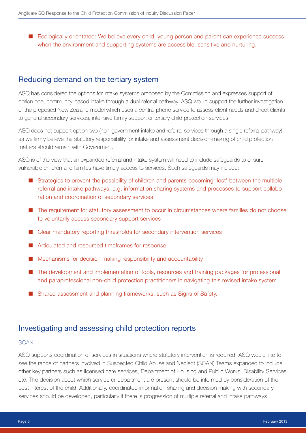■ Ecologically orientated: We believe every child, young person and parent can experience success when the environment and supporting systems are accessible, sensitive and nurturing.

# Reducing demand on the tertiary system

ASQ has considered the options for intake systems proposed by the Commission and expresses support of option one, community-based intake through a dual referral pathway. ASQ would support the further investigation of the proposed New Zealand model which uses a central phone service to assess client needs and direct clients to general secondary services, intensive family support or tertiary child protection services.

ASQ does not support option two (non-government intake and referral services through a single referral pathway) as we firmly believe the statutory responsibility for intake and assessment decision-making of child protection matters should remain with Government.

ASQ is of the view that an expanded referral and intake system will need to include safeguards to ensure vulnerable children and families have timely access to services. Such safeguards may include:

- Strategies to prevent the possibility of children and parents becoming 'lost' between the multiple referral and intake pathways, e.g. information sharing systems and processes to support collaboration and coordination of secondary services
- The requirement for statutory assessment to occur in circumstances where families do not choose to voluntarily access secondary support services
- Clear mandatory reporting thresholds for secondary intervention services
- Articulated and resourced timeframes for response
- Mechanisms for decision making responsibility and accountability
- The development and implementation of tools, resources and training packages for professional and paraprofessional non-child protection practitioners in navigating this revised intake system
- Shared assessment and planning frameworks, such as Signs of Safety.

#### Investigating and assessing child protection reports

#### **SCAN**

ASQ supports coordination of services in situations where statutory intervention is required. ASQ would like to see the range of partners involved in Suspected Child Abuse and Neglect (SCAN) Teams expanded to include other key partners such as licensed care services, Department of Housing and Public Works, Disability Services etc. The decision about which service or department are present should be informed by consideration of the best interest of the child. Additionally, coordinated information sharing and decision making with secondary services should be developed, particularly if there is progression of multiple referral and intake pathways.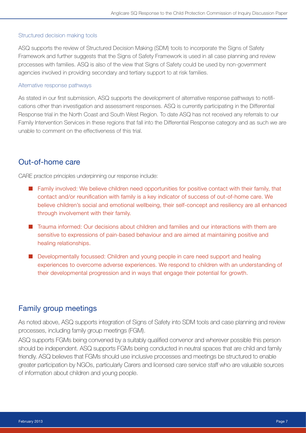#### Structured decision making tools

ASQ supports the review of Structured Decision Making (SDM) tools to incorporate the Signs of Safety Framework and further suggests that the Signs of Safety Framework is used in all case planning and review processes with families. ASQ is also of the view that Signs of Safety could be used by non-government agencies involved in providing secondary and tertiary support to at risk families.

#### Alternative response pathways

As stated in our first submission, ASQ supports the development of alternative response pathways to notifications other than investigation and assessment responses. ASQ is currently participating in the Differential Response trial in the North Coast and South West Region. To date ASQ has not received any referrals to our Family Intervention Services in these regions that fall into the Differential Response category and as such we are unable to comment on the effectiveness of this trial.

# Out-of-home care

CARE practice principles underpinning our response include:

- Family involved: We believe children need opportunities for positive contact with their family, that contact and/or reunification with family is a key indicator of success of out-of-home care. We believe children's social and emotional wellbeing, their self-concept and resiliency are all enhanced through involvement with their family.
- Trauma informed: Our decisions about children and families and our interactions with them are sensitive to expressions of pain-based behaviour and are aimed at maintaining positive and healing relationships.
- Developmentally focussed: Children and young people in care need support and healing experiences to overcome adverse experiences. We respond to children with an understanding of their developmental progression and in ways that engage their potential for growth.

# Family group meetings

As noted above, ASQ supports integration of Signs of Safety into SDM tools and case planning and review processes, including family group meetings (FGM).

ASQ supports FGMs being convened by a suitably qualified convenor and wherever possible this person should be independent. ASQ supports FGMs being conducted in neutral spaces that are child and family friendly. ASQ believes that FGMs should use inclusive processes and meetings be structured to enable greater participation by NGOs, particularly Carers and licensed care service staff who are valuable sources of information about children and young people.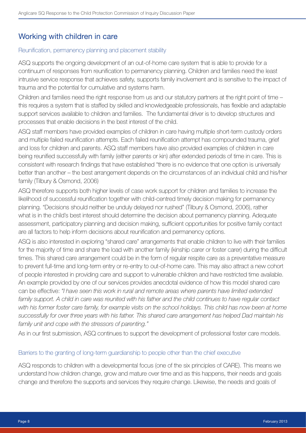# Working with children in care

#### Reunification, permanency planning and placement stability

ASQ supports the ongoing development of an out-of-home care system that is able to provide for a continuum of responses from reunification to permanency planning. Children and families need the least intrusive service response that achieves safety, supports family involvement and is sensitive to the impact of trauma and the potential for cumulative and systems harm.

Children and families need the right response from us and our statutory partners at the right point of time – this requires a system that is staffed by skilled and knowledgeable professionals, has flexible and adaptable support services available to children and families. The fundamental driver is to develop structures and processes that enable decisions in the best interest of the child.

ASQ staff members have provided examples of children in care having multiple short-term custody orders and multiple failed reunification attempts. Each failed reunification attempt has compounded trauma, grief and loss for children and parents. ASQ staff members have also provided examples of children in care being reunified successfully with family (either parents or kin) after extended periods of time in care. This is consistent with research findings that have established "there is no evidence that one option is universally better than another – the best arrangement depends on the circumstances of an individual child and his/her family (Tilbury & Osmond, 2006)

ASQ therefore supports both higher levels of case work support for children and families to increase the likelihood of successful reunification together with child-centred timely decision making for permanency planning. "Decisions should neither be unduly delayed nor rushed" (Tilbury & Osmond, 2006), rather what is in the child's best interest should determine the decision about permanency planning. Adequate assessment, participatory planning and decision making, sufficient opportunities for positive family contact are all factors to help inform decisions about reunification and permanency options.

ASQ is also interested in exploring "shared care" arrangements that enable children to live with their families for the majority of time and share the load with another family (kinship carer or foster carer) during the difficult times. This shared care arrangement could be in the form of regular respite care as a preventative measure to prevent full-time and long-term entry or re-entry to out-of-home care. This may also attract a new cohort of people interested in providing care and support to vulnerable children and have restricted time available. An example provided by one of our services provides anecdotal evidence of how this model shared care can be effective: *"I have seen this work in rural and remote areas where parents have limited extended*  family support. A child in care was reunited with his father and the child continues to have regular contact with his former foster care family, for example visits on the school holidays. This child has now been at home *successfully for over three years with his father. This shared care arrangement has helped Dad maintain his family unit and cope with the stressors of parenting."*

As in our first submission, ASQ continues to support the development of professional foster care models.

#### Barriers to the granting of long-term guardianship to people other than the chief executive

ASQ responds to children with a developmental focus (one of the six principles of CARE). This means we understand how children change, grow and mature over time and as this happens, their needs and goals change and therefore the supports and services they require change. Likewise, the needs and goals of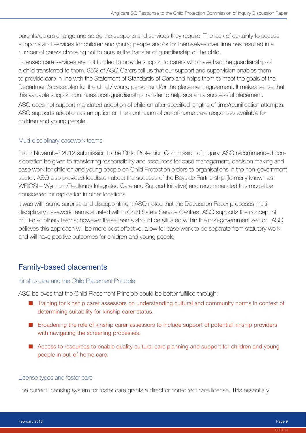parents/carers change and so do the supports and services they require. The lack of certainty to access supports and services for children and young people and/or for themselves over time has resulted in a number of carers choosing not to pursue the transfer of guardianship of the child.

Licensed care services are not funded to provide support to carers who have had the guardianship of a child transferred to them. 95% of ASQ Carers tell us that our support and supervision enables them to provide care in line with the Statement of Standards of Care and helps them to meet the goals of the Department's case plan for the child / young person and/or the placement agreement. It makes sense that this valuable support continues post-guardianship transfer to help sustain a successful placement.

ASQ does not support mandated adoption of children after specified lengths of time/reunification attempts. ASQ supports adoption as an option on the continuum of out-of-home care responses available for children and young people.

#### Multi-disciplinary casework teams

In our November 2012 submission to the Child Protection Commission of Inquiry, ASQ recommended consideration be given to transferring responsibility and resources for case management, decision making and case work for children and young people on Child Protection orders to organisations in the non-government sector. ASQ also provided feedback about the success of the Bayside Partnership (formerly known as WRICSI – Wynnum/Redlands Integrated Care and Support Initiative) and recommended this model be considered for replication in other locations.

It was with some surprise and disappointment ASQ noted that the Discussion Paper proposes multidisciplinary casework teams situated within Child Safety Service Centres. ASQ supports the concept of multi-disciplinary teams; however these teams should be situated within the non-government sector. ASQ believes this approach will be more cost-effective, allow for case work to be separate from statutory work and will have positive outcomes for children and young people.

# Family-based placements

#### Kinship care and the Child Placement Principle

ASQ believes that the Child Placement Principle could be better fulfilled through:

- Training for kinship carer assessors on understanding cultural and community norms in context of determining suitability for kinship carer status.
- Broadening the role of kinship carer assessors to include support of potential kinship providers with navigating the screening processes.
- Access to resources to enable quality cultural care planning and support for children and young people in out-of-home care.

#### License types and foster care

The current licensing system for foster care grants a direct or non-direct care license. This essentially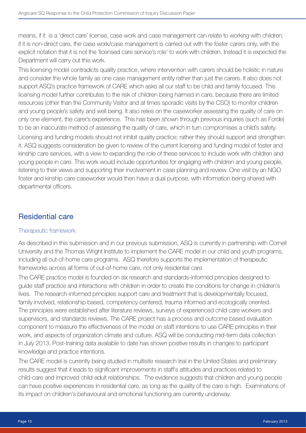means, if it is a 'direct care' license, case work and case management can relate to working with children; if it is non-direct care, the case work/case management is carried out with the foster carers only, with the explicit notation that it is not the 'licensed care service's role' to work with children. Instead it is expected the Department will carry out this work.

This licensing model contradicts quality practice, where intervention with carers should be holistic in nature and consider the whole family as one case management entity rather than just the carers. It also does not support ASQ's practice framework of CARE which asks all our staff to be child and family focused. This licensing model further contributes to the risk of children being harmed in care, because there are limited resources (other than the Community Visitor and at times sporadic visits by the CSO) to monitor children and young people's safety and well being. It also relies on the caseworker assessing the quality of care on only one element, the carer's experience. This has been shown through previous inquiries (such as Forde) to be an inaccurate method of assessing the quality of care, which in turn compromises a child's safety. Licensing and funding models should not inhibit quality practice; rather they should support and strengthen it. ASQ suggests consideration be given to review of the current licensing and funding model of foster and kinship care services, with a view to expanding the role of these services to include work with children and young people in care. This work would include opportunities for engaging with children and young people, listening to their views and supporting their involvement in case planning and review. One visit by an NGO foster and kinship care caseworker would then have a dual purpose, with information being shared with departmental officers.

# Residential care

#### Therapeutic framework

As described in this submission and in our previous submission, ASQ is currently in partnership with Cornell University and the Thomas Wright Institute to implement the CARE model in our child and youth programs, including all out-of-home care programs. ASQ therefore supports the implementation of therapeutic frameworks across all forms of out-of-home care, not only residential care.

The CARE practice model is founded on six research and standards-informed principles designed to guide staff practice and interactions with children in order to create the conditions for change in children's lives. The research-informed principles support care and treatment that is developmentally focused, family involved, relationship based, competency centered, trauma informed and ecologically oriented. The principles were established after literature reviews, surveys of experienced child care workers and supervisors, and standards reviews. The CARE project has a process and outcome based evaluation component to measure the effectiveness of the model on staff intentions to use CARE principles in their work, and aspects of organization climate and culture. ASQ will be conducting mid-term data collection in July 2013. Post-training data available to date has shown positive results in changes to participant knowledge and practice intentions.

The CARE model is currently being studied in multisite research trial in the United States and preliminary results suggest that it leads to significant improvements in staff's attitudes and practices related to child-care and improved child-adult relationships. The evidence suggests that children and young people can have positive experiences in residential care, as long as the quality of the care is high. Examinations of its impact on children's behavioural and emotional functioning are currently underway.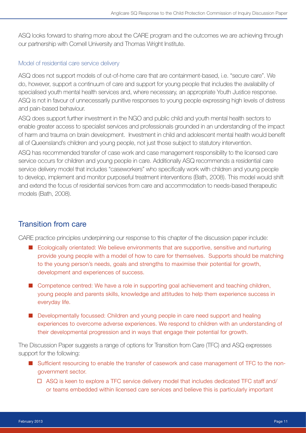ASQ looks forward to sharing more about the CARE program and the outcomes we are achieving through our partnership with Cornell University and Thomas Wright Institute.

#### Model of residential care service delivery

ASQ does not support models of out-of-home care that are containment-based, i.e. "secure care". We do, however, support a continuum of care and support for young people that includes the availability of specialised youth mental health services and, where necessary, an appropriate Youth Justice response. ASQ is not in favour of unnecessarily punitive responses to young people expressing high levels of distress and pain-based behaviour.

ASQ does support further investment in the NGO and public child and youth mental health sectors to enable greater access to specialist services and professionals grounded in an understanding of the impact of harm and trauma on brain development. Investment in child and adolescent mental health would benefit all of Queensland's children and young people, not just those subject to statutory intervention.

ASQ has recommended transfer of case work and case management responsibility to the licensed care service occurs for children and young people in care. Additionally ASQ recommends a residential care service delivery model that includes "caseworkers" who specifically work with children and young people to develop, implement and monitor purposeful treatment interventions (Bath, 2008). This model would shift and extend the focus of residential services from care and accommodation to needs-based therapeutic models (Bath, 2008).

# Transition from care

CARE practice principles underpinning our response to this chapter of the discussion paper include:

- Ecologically orientated: We believe environments that are supportive, sensitive and nurturing provide young people with a model of how to care for themselves. Supports should be matching to the young person's needs, goals and strengths to maximise their potential for growth, development and experiences of success.
- Competence centred: We have a role in supporting goal achievement and teaching children, young people and parents skills, knowledge and attitudes to help them experience success in everyday life.
- Developmentally focussed: Children and young people in care need support and healing experiences to overcome adverse experiences. We respond to children with an understanding of their developmental progression and in ways that engage their potential for growth.

The Discussion Paper suggests a range of options for Transition from Care (TFC) and ASQ expresses support for the following:

- Sufficient resourcing to enable the transfer of casework and case management of TFC to the nongovernment sector.
	- $\Box$  ASQ is keen to explore a TFC service delivery model that includes dedicated TFC staff and/ or teams embedded within licensed care services and believe this is particularly important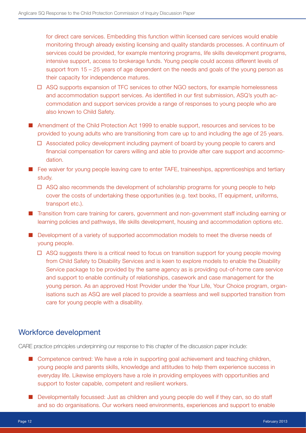for direct care services. Embedding this function within licensed care services would enable monitoring through already existing licensing and quality standards processes. A continuum of services could be provided, for example mentoring programs, life skills development programs, intensive support, access to brokerage funds. Young people could access different levels of support from 15 – 25 years of age dependent on the needs and goals of the young person as their capacity for independence matures.

- ASQ supports expansion of TFC services to other NGO sectors, for example homelessness and accommodation support services. As identified in our first submission, ASQ's youth accommodation and support services provide a range of responses to young people who are also known to Child Safety.
- Amendment of the Child Protection Act 1999 to enable support, resources and services to be provided to young adults who are transitioning from care up to and including the age of 25 years.
	- $\Box$  Associated policy development including payment of board by young people to carers and financial compensation for carers willing and able to provide after care support and accommodation.
- Fee waiver for young people leaving care to enter TAFE, traineeships, apprenticeships and tertiary study.
	- $\Box$  ASQ also recommends the development of scholarship programs for young people to help cover the costs of undertaking these opportunities (e.g. text books, IT equipment, uniforms, transport etc.).
- Transition from care training for carers, government and non-government staff including earning or learning policies and pathways, life skills development, housing and accommodation options etc.
- Development of a variety of supported accommodation models to meet the diverse needs of young people.
	- $\Box$  ASQ suggests there is a critical need to focus on transition support for young people moving from Child Safety to Disability Services and is keen to explore models to enable the Disability Service package to be provided by the same agency as is providing out-of-home care service and support to enable continuity of relationships, casework and case management for the young person. As an approved Host Provider under the Your Life, Your Choice program, organisations such as ASQ are well placed to provide a seamless and well supported transition from care for young people with a disability.

# Workforce development

CARE practice principles underpinning our response to this chapter of the discussion paper include:

- Competence centred: We have a role in supporting goal achievement and teaching children, young people and parents skills, knowledge and attitudes to help them experience success in everyday life. Likewise employers have a role in providing employees with opportunities and support to foster capable, competent and resilient workers.
- Developmentally focussed: Just as children and young people do well if they can, so do staff and so do organisations. Our workers need environments, experiences and support to enable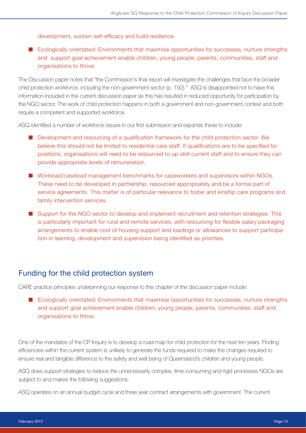development, sustain self-efficacy and build resilience.

■ Ecologically orientated: Environments that maximise opportunities for successes, nurture strengths and support goal achievement enable children, young people, parents, communities, staff and organisations to thrive.

The Discussion paper notes that "the Commission's final report will investigate the challenges that face the broader child protection workforce, including the non-government sector (p. 192)." ASQ is disappointed not to have this information included in the current discussion paper as this has resulted in reduced opportunity for participation by the NGO sector. The work of child protection happens in both a government and non-government context and both require a competent and supported workforce.

ASQ identified a number of workforce issues in our first submission and expands these to include:

- Development and resourcing of a qualification framework for the child protection sector. We believe this should not be limited to residential care staff. If qualifications are to be specified for positions, organisations will need to be resourced to up-skill current staff and to ensure they can provide appropriate levels of remuneration.
- Workload/caseload management benchmarks for caseworkers and supervisors within NGOs. These need to be developed in partnership, resourced appropriately and be a formal part of service agreements. This matter is of particular relevance to foster and kinship care programs and family intervention services.
- Support for the NGO sector to develop and implement recruitment and retention strategies. This is particularly important for rural and remote services, with resourcing for flexible salary packaging arrangements to enable cost of housing support and loadings or allowances to support participation in learning, development and supervision being identified as priorities.

#### Funding for the child protection system

CARE practice principles underpinning our response to this chapter of the discussion paper include:

■ Ecologically orientated: Environments that maximise opportunities for successes, nurture strengths and support goal achievement enable children, young people, parents, communities, staff and organisations to thrive.

One of the mandates of the CP Inquiry is to develop a road-map for child protection for the next ten years. Finding efficiencies within the current system is unlikely to generate the funds required to make the changes required to ensure real and tangible difference to the safety and well being of Queensland's children and young people.

ASQ does support strategies to reduce the unnecessarily complex, time-consuming and rigid processes NGOs are subject to and makes the following suggestions:

ASQ operates on an annual budget cycle and three year contract arrangements with government. The current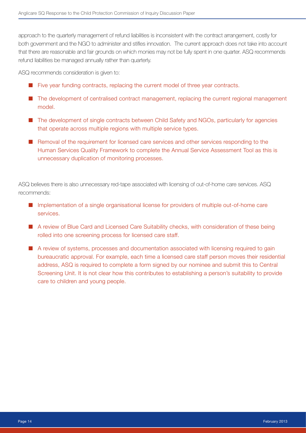approach to the quarterly management of refund liabilities is inconsistent with the contract arrangement, costly for both government and the NGO to administer and stifles innovation. The current approach does not take into account that there are reasonable and fair grounds on which monies may not be fully spent in one quarter. ASQ recommends refund liabilities be managed annually rather than quarterly.

ASQ recommends consideration is given to:

- Five year funding contracts, replacing the current model of three year contracts.
- The development of centralised contract management, replacing the current regional management model.
- The development of single contracts between Child Safety and NGOs, particularly for agencies that operate across multiple regions with multiple service types.
- Removal of the requirement for licensed care services and other services responding to the Human Services Quality Framework to complete the Annual Service Assessment Tool as this is unnecessary duplication of monitoring processes.

ASQ believes there is also unnecessary red-tape associated with licensing of out-of-home care services. ASQ recommends:

- Implementation of a single organisational license for providers of multiple out-of-home care services.
- A review of Blue Card and Licensed Care Suitability checks, with consideration of these being rolled into one screening process for licensed care staff.
- A review of systems, processes and documentation associated with licensing required to gain bureaucratic approval. For example, each time a licensed care staff person moves their residential address, ASQ is required to complete a form signed by our nominee and submit this to Central Screening Unit. It is not clear how this contributes to establishing a person's suitability to provide care to children and young people.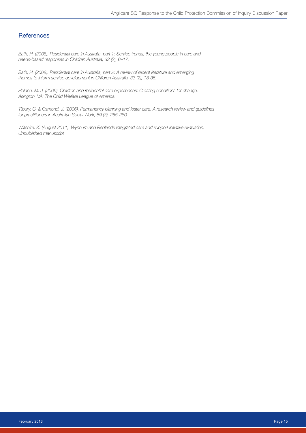#### **References**

*Bath, H. (2008). Residential care in Australia, part 1: Service trends, the young people in care and needs-based responses in Children Australia, 33 (2), 6–17.*

*Bath, H. (2008). Residential care in Australia, part 2: A review of recent literature and emerging themes to inform service development in Children Australia, 33 (2), 18-36.*

*Holden, M. J. (2009). Children and residential care experiences: Creating conditions for change. Arlington, VA: The Child Welfare League of America.*

*Tilbury, C. & Osmond, J. (2006). Permanency planning and foster care: A research review and guidelines for practitioners in Australian Social Work, 59 (3), 265-280.*

*Wiltshire, K. (August 2011). Wynnum and Redlands integrated care and support initiative evaluation. Unpublished manuscript*